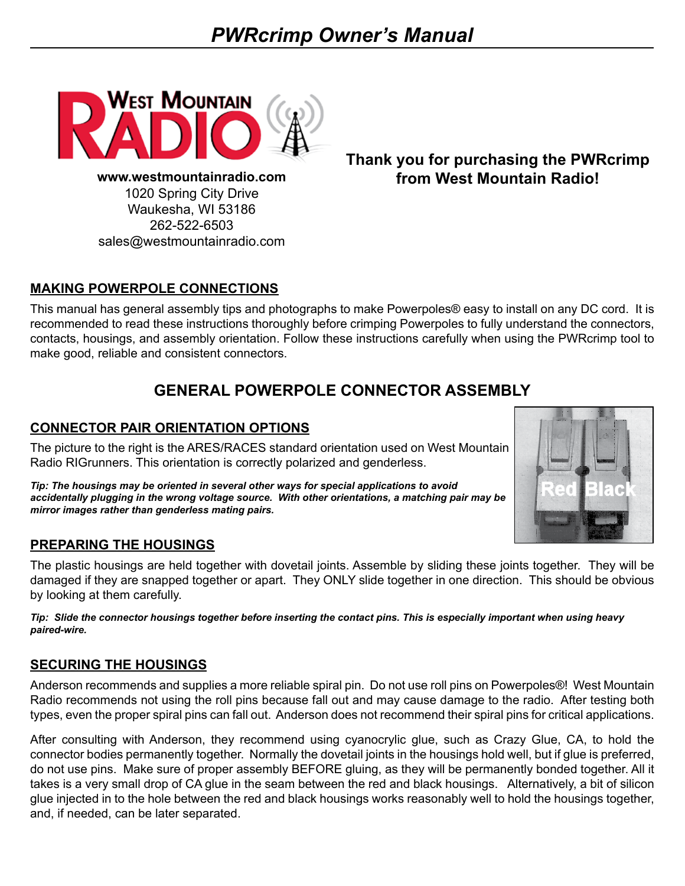

**www.westmountainradio.com** 1020 Spring City Drive Waukesha, WI 53186 262-522-6503 sales@westmountainradio.com

**Thank you for purchasing the PWRcrimp from West Mountain Radio!**

### **MAKING POWERPOLE CONNECTIONS**

This manual has general assembly tips and photographs to make Powerpoles® easy to install on any DC cord. It is recommended to read these instructions thoroughly before crimping Powerpoles to fully understand the connectors, contacts, housings, and assembly orientation. Follow these instructions carefully when using the PWRcrimp tool to make good, reliable and consistent connectors.

# **GENERAL POWERPOLE CONNECTOR ASSEMBLY**

#### **CONNECTOR PAIR ORIENTATION OPTIONS**

The picture to the right is the ARES/RACES standard orientation used on West Mountain Radio RIGrunners. This orientation is correctly polarized and genderless.

*Tip: The housings may be oriented in several other ways for special applications to avoid accidentally plugging in the wrong voltage source. With other orientations, a matching pair may be mirror images rather than genderless mating pairs.* 



#### **PREPARING THE HOUSINGS**

The plastic housings are held together with dovetail joints. Assemble by sliding these joints together. They will be damaged if they are snapped together or apart. They ONLY slide together in one direction. This should be obvious by looking at them carefully.

*Tip: Slide the connector housings together before inserting the contact pins. This is especially important when using heavy paired-wire.* 

#### **SECURING THE HOUSINGS**

Anderson recommends and supplies a more reliable spiral pin. Do not use roll pins on Powerpoles®! West Mountain Radio recommends not using the roll pins because fall out and may cause damage to the radio. After testing both types, even the proper spiral pins can fall out. Anderson does not recommend their spiral pins for critical applications.

After consulting with Anderson, they recommend using cyanocrylic glue, such as Crazy Glue, CA, to hold the connector bodies permanently together. Normally the dovetail joints in the housings hold well, but if glue is preferred, do not use pins. Make sure of proper assembly BEFORE gluing, as they will be permanently bonded together. All it takes is a very small drop of CA glue in the seam between the red and black housings. Alternatively, a bit of silicon glue injected in to the hole between the red and black housings works reasonably well to hold the housings together, and, if needed, can be later separated.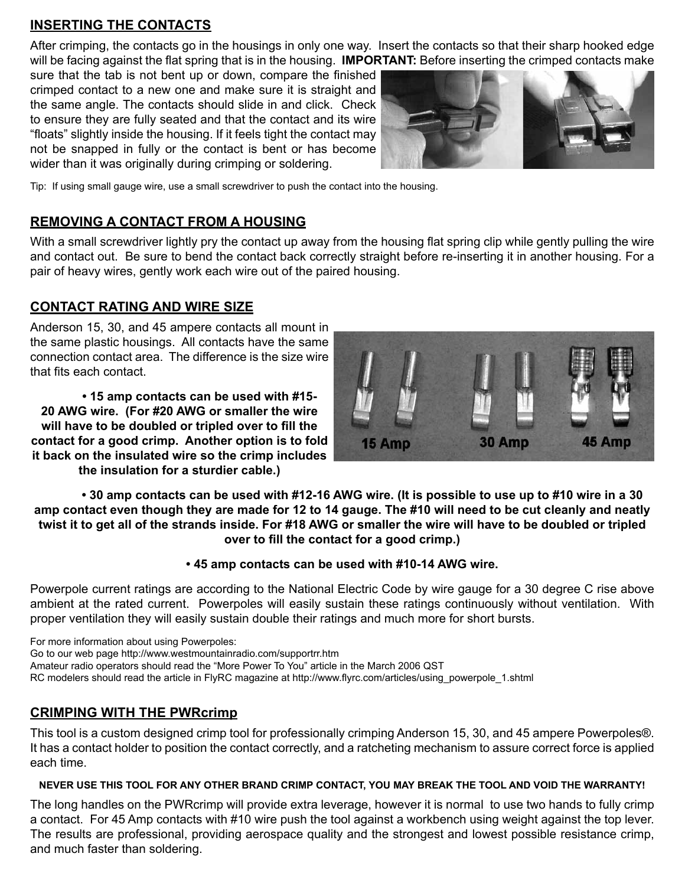#### **INSERTING THE CONTACTS**

After crimping, the contacts go in the housings in only one way. Insert the contacts so that their sharp hooked edge will be facing against the flat spring that is in the housing. **IMPORTANT:** Before inserting the crimped contacts make

sure that the tab is not bent up or down, compare the finished crimped contact to a new one and make sure it is straight and the same angle. The contacts should slide in and click. Check to ensure they are fully seated and that the contact and its wire "floats" slightly inside the housing. If it feels tight the contact may not be snapped in fully or the contact is bent or has become wider than it was originally during crimping or soldering.



Tip: If using small gauge wire, use a small screwdriver to push the contact into the housing.

#### **REMOVING A CONTACT FROM A HOUSING**

With a small screwdriver lightly pry the contact up away from the housing flat spring clip while gently pulling the wire and contact out. Be sure to bend the contact back correctly straight before re-inserting it in another housing. For a pair of heavy wires, gently work each wire out of the paired housing.

#### **CONTACT RATING AND WIRE SIZE**

Anderson 15, 30, and 45 ampere contacts all mount in the same plastic housings. All contacts have the same connection contact area. The difference is the size wire that fits each contact.

 **• 15 amp contacts can be used with #15- 20 AWG wire. (For #20 AWG or smaller the wire will have to be doubled or tripled over to fill the contact for a good crimp. Another option is to fold it back on the insulated wire so the crimp includes the insulation for a sturdier cable.)**



• 30 amp contacts can be used with #12-16 AWG wire. (It is possible to use up to #10 wire in a 30 amp contact even though they are made for 12 to 14 gauge. The #10 will need to be cut cleanly and neatly twist it to get all of the strands inside. For #18 AWG or smaller the wire will have to be doubled or tripled **over to fill the contact for a good crimp.)**

#### **• 45 amp contacts can be used with #10-14 AWG wire.**

Powerpole current ratings are according to the National Electric Code by wire gauge for a 30 degree C rise above ambient at the rated current. Powerpoles will easily sustain these ratings continuously without ventilation. With proper ventilation they will easily sustain double their ratings and much more for short bursts.

For more information about using Powerpoles: Go to our web page http://www.westmountainradio.com/supportrr.htm Amateur radio operators should read the "More Power To You" article in the March 2006 QST RC modelers should read the article in FlyRC magazine at http://www.flyrc.com/articles/using\_powerpole\_1.shtml

#### **CRIMPING WITH THE PWRcrimp**

This tool is a custom designed crimp tool for professionally crimping Anderson 15, 30, and 45 ampere Powerpoles®. It has a contact holder to position the contact correctly, and a ratcheting mechanism to assure correct force is applied each time.

#### **NEVER USE THIS TOOL FOR ANY OTHER BRAND CRIMP CONTACT, YOU MAY BREAK THE TOOL AND VOID THE WARRANTY!**

The long handles on the PWRcrimp will provide extra leverage, however it is normal to use two hands to fully crimp a contact. For 45 Amp contacts with #10 wire push the tool against a workbench using weight against the top lever. The results are professional, providing aerospace quality and the strongest and lowest possible resistance crimp, and much faster than soldering.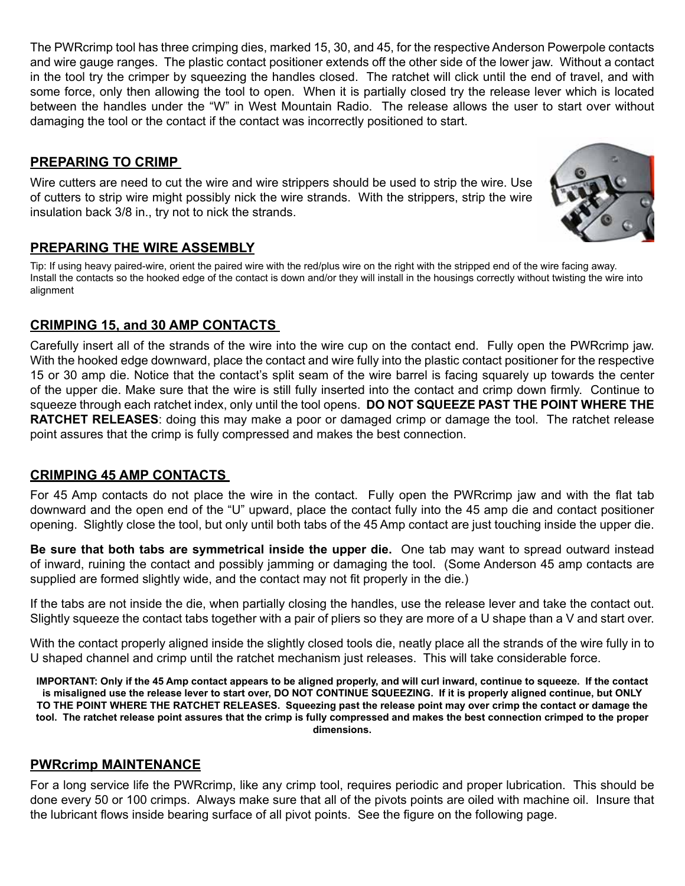The PWRcrimp tool has three crimping dies, marked 15, 30, and 45, for the respective Anderson Powerpole contacts and wire gauge ranges. The plastic contact positioner extends off the other side of the lower jaw. Without a contact in the tool try the crimper by squeezing the handles closed. The ratchet will click until the end of travel, and with some force, only then allowing the tool to open. When it is partially closed try the release lever which is located between the handles under the "W" in West Mountain Radio. The release allows the user to start over without damaging the tool or the contact if the contact was incorrectly positioned to start.

### **PREPARING TO CRIMP**

Wire cutters are need to cut the wire and wire strippers should be used to strip the wire. Use of cutters to strip wire might possibly nick the wire strands. With the strippers, strip the wire insulation back 3/8 in., try not to nick the strands.



Tip: If using heavy paired-wire, orient the paired wire with the red/plus wire on the right with the stripped end of the wire facing away. Install the contacts so the hooked edge of the contact is down and/or they will install in the housings correctly without twisting the wire into alignment

# **CRIMPING 15, and 30 AMP CONTACTS**

Carefully insert all of the strands of the wire into the wire cup on the contact end. Fully open the PWRcrimp jaw. With the hooked edge downward, place the contact and wire fully into the plastic contact positioner for the respective 15 or 30 amp die. Notice that the contact's split seam of the wire barrel is facing squarely up towards the center of the upper die. Make sure that the wire is still fully inserted into the contact and crimp down firmly. Continue to squeeze through each ratchet index, only until the tool opens. **DO NOT SQUEEZE PAST THE POINT WHERE THE RATCHET RELEASES**: doing this may make a poor or damaged crimp or damage the tool. The ratchet release point assures that the crimp is fully compressed and makes the best connection.

# **CRIMPING 45 AMP CONTACTS**

For 45 Amp contacts do not place the wire in the contact. Fully open the PWRcrimp jaw and with the flat tab downward and the open end of the "U" upward, place the contact fully into the 45 amp die and contact positioner opening. Slightly close the tool, but only until both tabs of the 45 Amp contact are just touching inside the upper die.

**Be sure that both tabs are symmetrical inside the upper die.** One tab may want to spread outward instead of inward, ruining the contact and possibly jamming or damaging the tool. (Some Anderson 45 amp contacts are supplied are formed slightly wide, and the contact may not fit properly in the die.)

If the tabs are not inside the die, when partially closing the handles, use the release lever and take the contact out. Slightly squeeze the contact tabs together with a pair of pliers so they are more of a U shape than a V and start over.

With the contact properly aligned inside the slightly closed tools die, neatly place all the strands of the wire fully in to U shaped channel and crimp until the ratchet mechanism just releases. This will take considerable force.

IMPORTANT: Only if the 45 Amp contact appears to be aligned properly, and will curl inward, continue to squeeze. If the contact is misaligned use the release lever to start over, DO NOT CONTINUE SQUEEZING. If it is properly aligned continue, but ONLY TO THE POINT WHERE THE RATCHET RELEASES. Squeezing past the release point may over crimp the contact or damage the tool. The ratchet release point assures that the crimp is fully compressed and makes the best connection crimped to the proper **dimensions.** 

#### **PWRcrimp MAINTENANCE**

For a long service life the PWRcrimp, like any crimp tool, requires periodic and proper lubrication. This should be done every 50 or 100 crimps. Always make sure that all of the pivots points are oiled with machine oil. Insure that the lubricant flows inside bearing surface of all pivot points. See the figure on the following page.